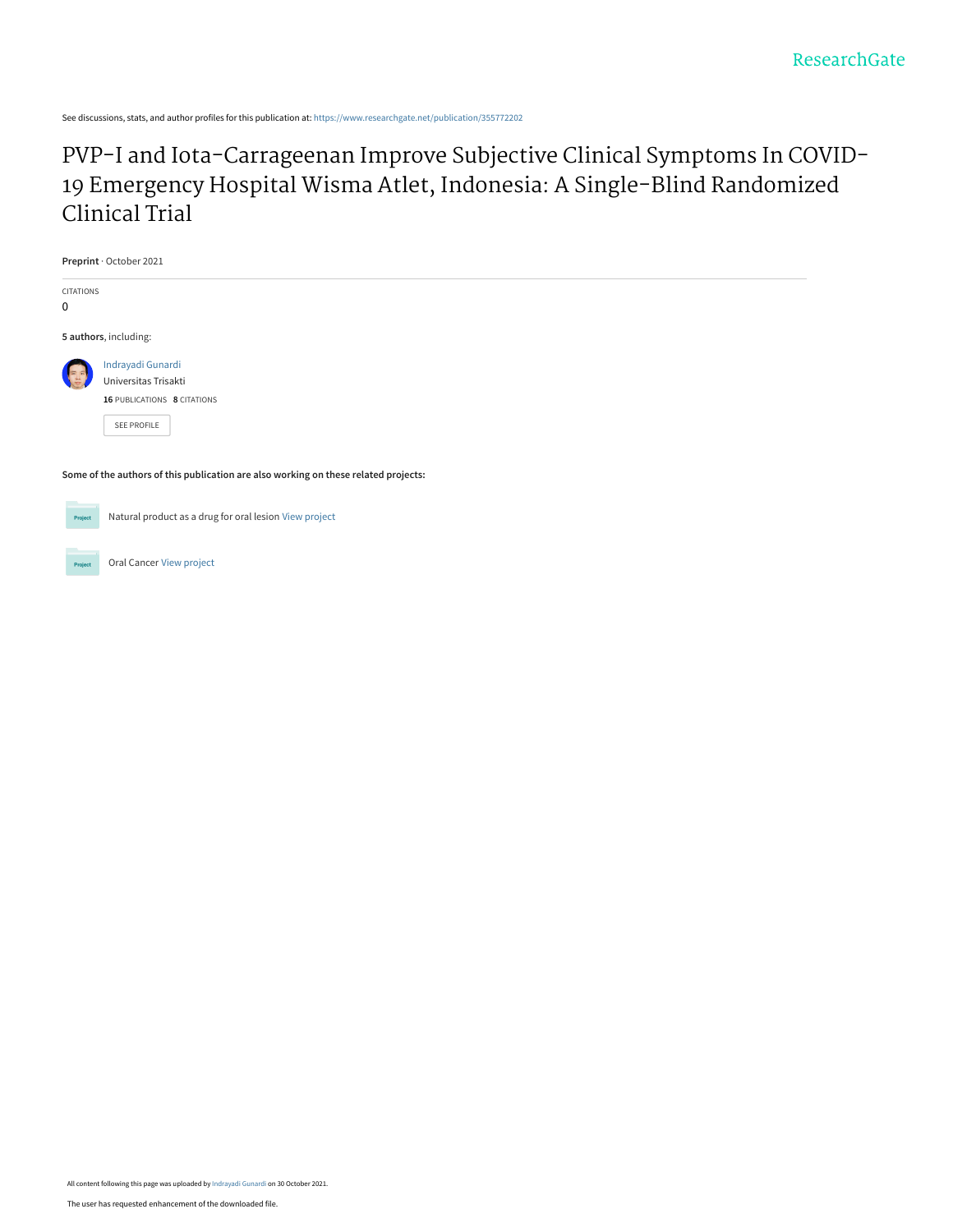See discussions, stats, and author profiles for this publication at: [https://www.researchgate.net/publication/355772202](https://www.researchgate.net/publication/355772202_PVP-I_and_Iota-Carrageenan_Improve_Subjective_Clinical_Symptoms_In_COVID-19_Emergency_Hospital_Wisma_Atlet_Indonesia_A_Single-Blind_Randomized_Clinical_Trial?enrichId=rgreq-afe653339df519802c5e9c026d78dac8-XXX&enrichSource=Y292ZXJQYWdlOzM1NTc3MjIwMjtBUzoxMDg0NTEyNzI1NDEzODkwQDE2MzU1NzkzOTEzMTE%3D&el=1_x_2&_esc=publicationCoverPdf)

# [PVP-I and Iota-Carrageenan Improve Subjective Clinical Symptoms In COVID-](https://www.researchgate.net/publication/355772202_PVP-I_and_Iota-Carrageenan_Improve_Subjective_Clinical_Symptoms_In_COVID-19_Emergency_Hospital_Wisma_Atlet_Indonesia_A_Single-Blind_Randomized_Clinical_Trial?enrichId=rgreq-afe653339df519802c5e9c026d78dac8-XXX&enrichSource=Y292ZXJQYWdlOzM1NTc3MjIwMjtBUzoxMDg0NTEyNzI1NDEzODkwQDE2MzU1NzkzOTEzMTE%3D&el=1_x_3&_esc=publicationCoverPdf)19 Emergency Hospital Wisma Atlet, Indonesia: A Single-Blind Randomized Clinical Trial

| Preprint · October 2021                                                             |                                                                                         |  |  |  |  |  |  |  |  |
|-------------------------------------------------------------------------------------|-----------------------------------------------------------------------------------------|--|--|--|--|--|--|--|--|
| CITATIONS<br>0                                                                      |                                                                                         |  |  |  |  |  |  |  |  |
|                                                                                     | 5 authors, including:                                                                   |  |  |  |  |  |  |  |  |
|                                                                                     | Indrayadi Gunardi<br>Universitas Trisakti<br>16 PUBLICATIONS 8 CITATIONS<br>SEE PROFILE |  |  |  |  |  |  |  |  |
| Some of the authors of this publication are also working on these related projects: |                                                                                         |  |  |  |  |  |  |  |  |
| Project                                                                             | Natural product as a drug for oral lesion View project                                  |  |  |  |  |  |  |  |  |

Oral Cancer [View project](https://www.researchgate.net/project/Oral-Cancer-15?enrichId=rgreq-afe653339df519802c5e9c026d78dac8-XXX&enrichSource=Y292ZXJQYWdlOzM1NTc3MjIwMjtBUzoxMDg0NTEyNzI1NDEzODkwQDE2MzU1NzkzOTEzMTE%3D&el=1_x_9&_esc=publicationCoverPdf)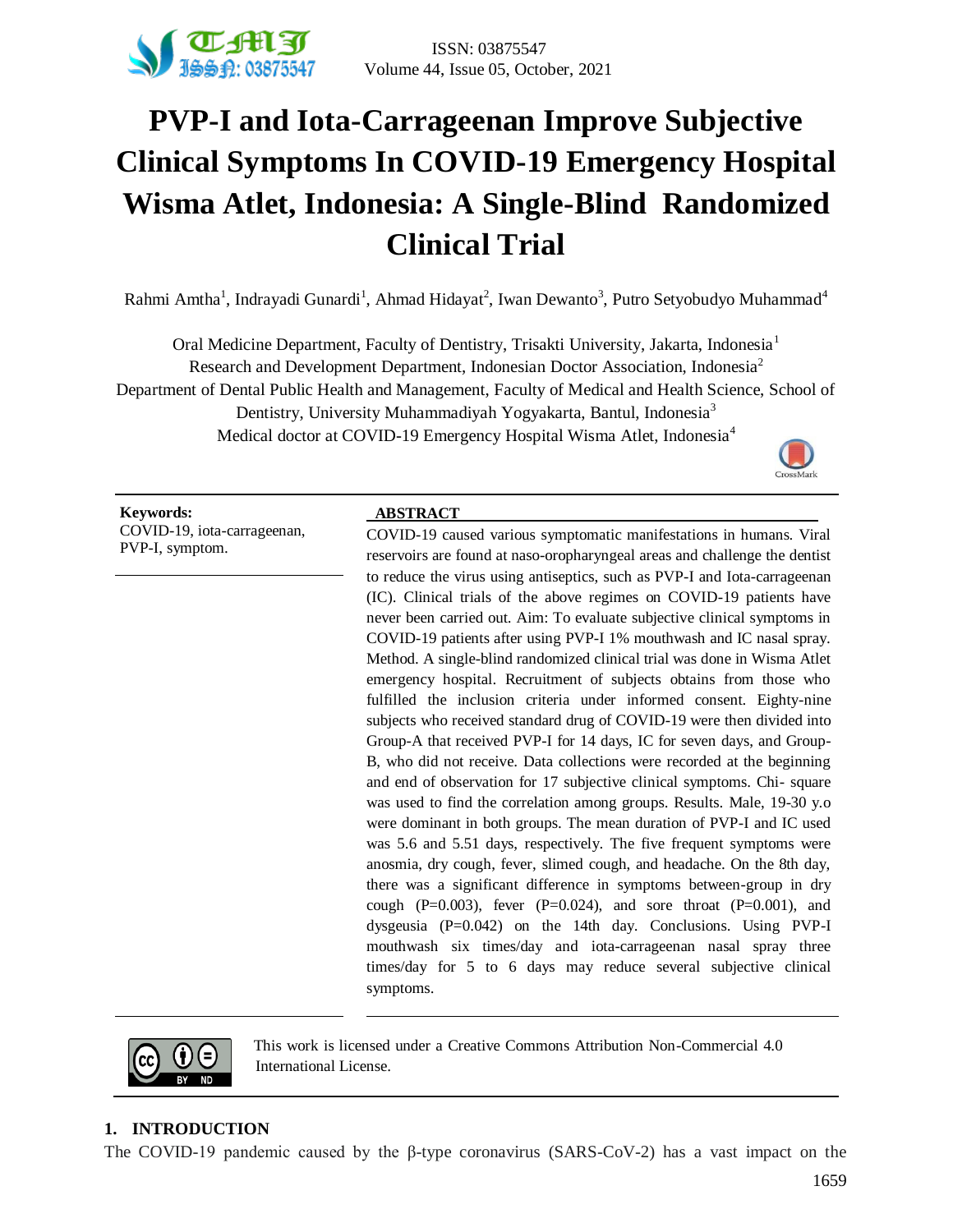

# **PVP-I and Iota-Carrageenan Improve Subjective Clinical Symptoms In COVID-19 Emergency Hospital Wisma Atlet, Indonesia: A Single-Blind Randomized Clinical Trial**

Rahmi Amtha<sup>1</sup>, Indrayadi Gunardi<sup>1</sup>, Ahmad Hidayat<sup>2</sup>, Iwan Dewanto<sup>3</sup>, Putro Setyobudyo Muhammad<sup>4</sup>

Oral Medicine Department, Faculty of Dentistry, Trisakti University, Jakarta, Indonesia<sup>1</sup> Research and Development Department, Indonesian Doctor Association, Indonesia<sup>2</sup> Department of Dental Public Health and Management, Faculty of Medical and Health Science, School of Dentistry, University Muhammadiyah Yogyakarta, Bantul, Indonesia<sup>3</sup> Medical doctor at COVID-19 Emergency Hospital Wisma Atlet, Indonesia<sup>4</sup>



**Keywords: ABSTRACT** COVID-19, iota-carrageenan, PVP-I, symptom.

COVID-19 caused various symptomatic manifestations in humans. Viral reservoirs are found at naso-oropharyngeal areas and challenge the dentist to reduce the virus using antiseptics, such as PVP-I and Iota-carrageenan (IC). Clinical trials of the above regimes on COVID-19 patients have never been carried out. Aim: To evaluate subjective clinical symptoms in COVID-19 patients after using PVP-I 1% mouthwash and IC nasal spray. Method. A single-blind randomized clinical trial was done in Wisma Atlet emergency hospital. Recruitment of subjects obtains from those who fulfilled the inclusion criteria under informed consent. Eighty-nine subjects who received standard drug of COVID-19 were then divided into Group-A that received PVP-I for 14 days, IC for seven days, and Group-B, who did not receive. Data collections were recorded at the beginning and end of observation for 17 subjective clinical symptoms. Chi- square was used to find the correlation among groups. Results. Male, 19-30 y.o were dominant in both groups. The mean duration of PVP-I and IC used was 5.6 and 5.51 days, respectively. The five frequent symptoms were anosmia, dry cough, fever, slimed cough, and headache. On the 8th day, there was a significant difference in symptoms between-group in dry cough (P=0.003), fever (P=0.024), and sore throat (P=0.001), and dysgeusia (P=0.042) on the 14th day. Conclusions. Using PVP-I mouthwash six times/day and iota-carrageenan nasal spray three times/day for 5 to 6 days may reduce several subjective clinical symptoms.



This work is licensed under a Creative Commons Attribution Non-Commercial 4.0 International License.

### **1. INTRODUCTION**

The COVID-19 pandemic caused by the β-type coronavirus (SARS-CoV-2) has a vast impact on the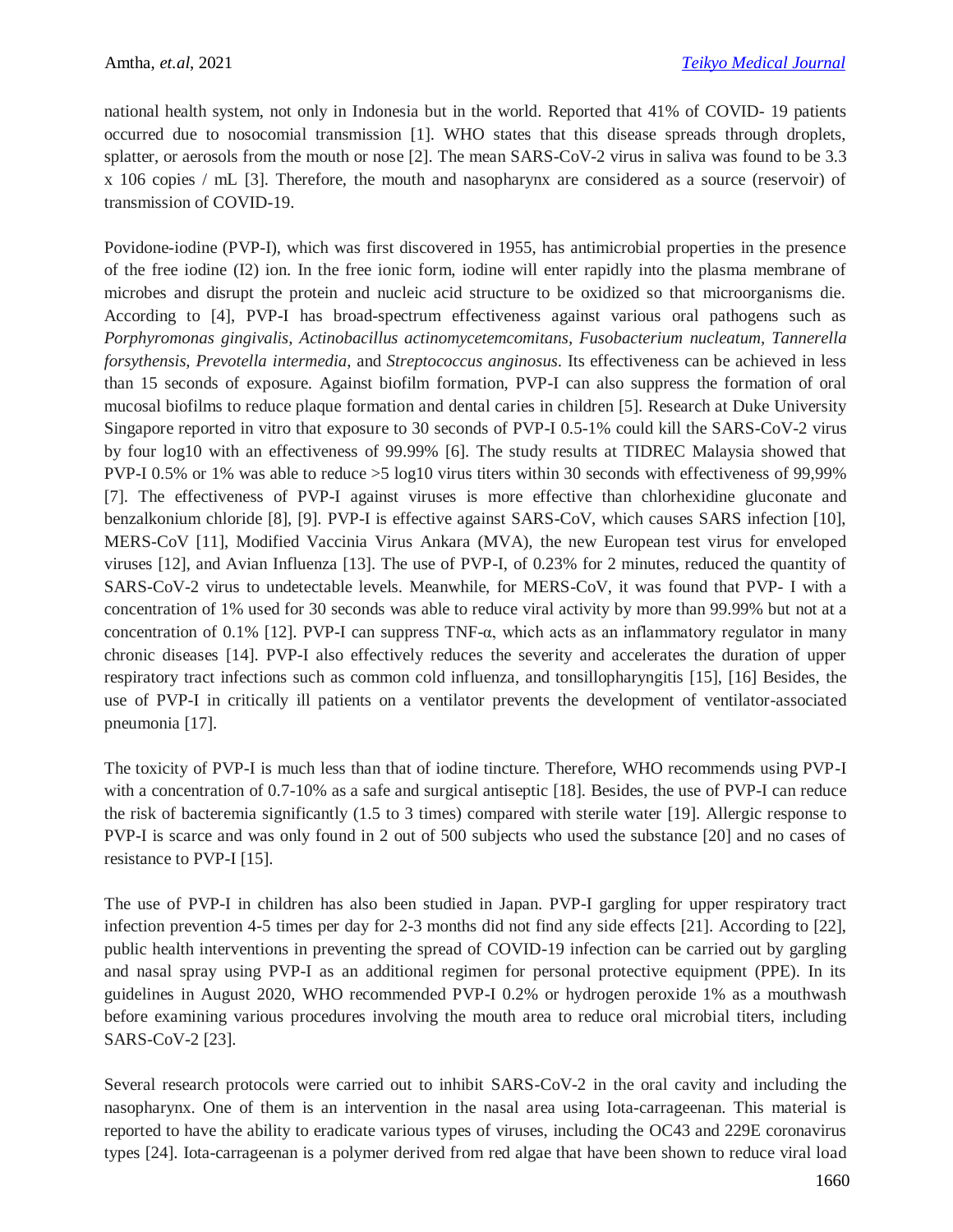national health system, not only in Indonesia but in the world. Reported that 41% of COVID- 19 patients occurred due to nosocomial transmission [1]. WHO states that this disease spreads through droplets, splatter, or aerosols from the mouth or nose [2]. The mean SARS-CoV-2 virus in saliva was found to be 3.3 x 106 copies / mL [3]. Therefore, the mouth and nasopharynx are considered as a source (reservoir) of transmission of COVID-19.

Povidone-iodine (PVP-I), which was first discovered in 1955, has antimicrobial properties in the presence of the free iodine (I2) ion. In the free ionic form, iodine will enter rapidly into the plasma membrane of microbes and disrupt the protein and nucleic acid structure to be oxidized so that microorganisms die. According to [4], PVP-I has broad-spectrum effectiveness against various oral pathogens such as *Porphyromonas gingivalis, Actinobacillus actinomycetemcomitans, Fusobacterium nucleatum, Tannerella forsythensis, Prevotella intermedia*, and *Streptococcus anginosus*. Its effectiveness can be achieved in less than 15 seconds of exposure. Against biofilm formation, PVP-I can also suppress the formation of oral mucosal biofilms to reduce plaque formation and dental caries in children [5]. Research at Duke University Singapore reported in vitro that exposure to 30 seconds of PVP-I 0.5-1% could kill the SARS-CoV-2 virus by four log10 with an effectiveness of 99.99% [6]. The study results at TIDREC Malaysia showed that PVP-I 0.5% or 1% was able to reduce >5 log10 virus titers within 30 seconds with effectiveness of 99,99% [7]. The effectiveness of PVP-I against viruses is more effective than chlorhexidine gluconate and benzalkonium chloride [8], [9]. PVP-I is effective against SARS-CoV, which causes SARS infection [10], MERS-CoV [11], Modified Vaccinia Virus Ankara (MVA), the new European test virus for enveloped viruses [12], and Avian Influenza [13]. The use of PVP-I, of 0.23% for 2 minutes, reduced the quantity of SARS-CoV-2 virus to undetectable levels. Meanwhile, for MERS-CoV, it was found that PVP- I with a concentration of 1% used for 30 seconds was able to reduce viral activity by more than 99.99% but not at a concentration of 0.1% [12]. PVP-I can suppress TNF-α, which acts as an inflammatory regulator in many chronic diseases [14]. PVP-I also effectively reduces the severity and accelerates the duration of upper respiratory tract infections such as common cold influenza, and tonsillopharyngitis [15], [16] Besides, the use of PVP-I in critically ill patients on a ventilator prevents the development of ventilator-associated pneumonia [17].

The toxicity of PVP-I is much less than that of iodine tincture. Therefore, WHO recommends using PVP-I with a concentration of 0.7-10% as a safe and surgical antiseptic [18]. Besides, the use of PVP-I can reduce the risk of bacteremia significantly (1.5 to 3 times) compared with sterile water [19]. Allergic response to PVP-I is scarce and was only found in 2 out of 500 subjects who used the substance [20] and no cases of resistance to PVP-I [15].

The use of PVP-I in children has also been studied in Japan. PVP-I gargling for upper respiratory tract infection prevention 4-5 times per day for 2-3 months did not find any side effects [21]. According to [22], public health interventions in preventing the spread of COVID-19 infection can be carried out by gargling and nasal spray using PVP-I as an additional regimen for personal protective equipment (PPE). In its guidelines in August 2020, WHO recommended PVP-I 0.2% or hydrogen peroxide 1% as a mouthwash before examining various procedures involving the mouth area to reduce oral microbial titers, including SARS-CoV-2 [23].

Several research protocols were carried out to inhibit SARS-CoV-2 in the oral cavity and including the nasopharynx. One of them is an intervention in the nasal area using Iota-carrageenan. This material is reported to have the ability to eradicate various types of viruses, including the OC43 and 229E coronavirus types [24]. Iota-carrageenan is a polymer derived from red algae that have been shown to reduce viral load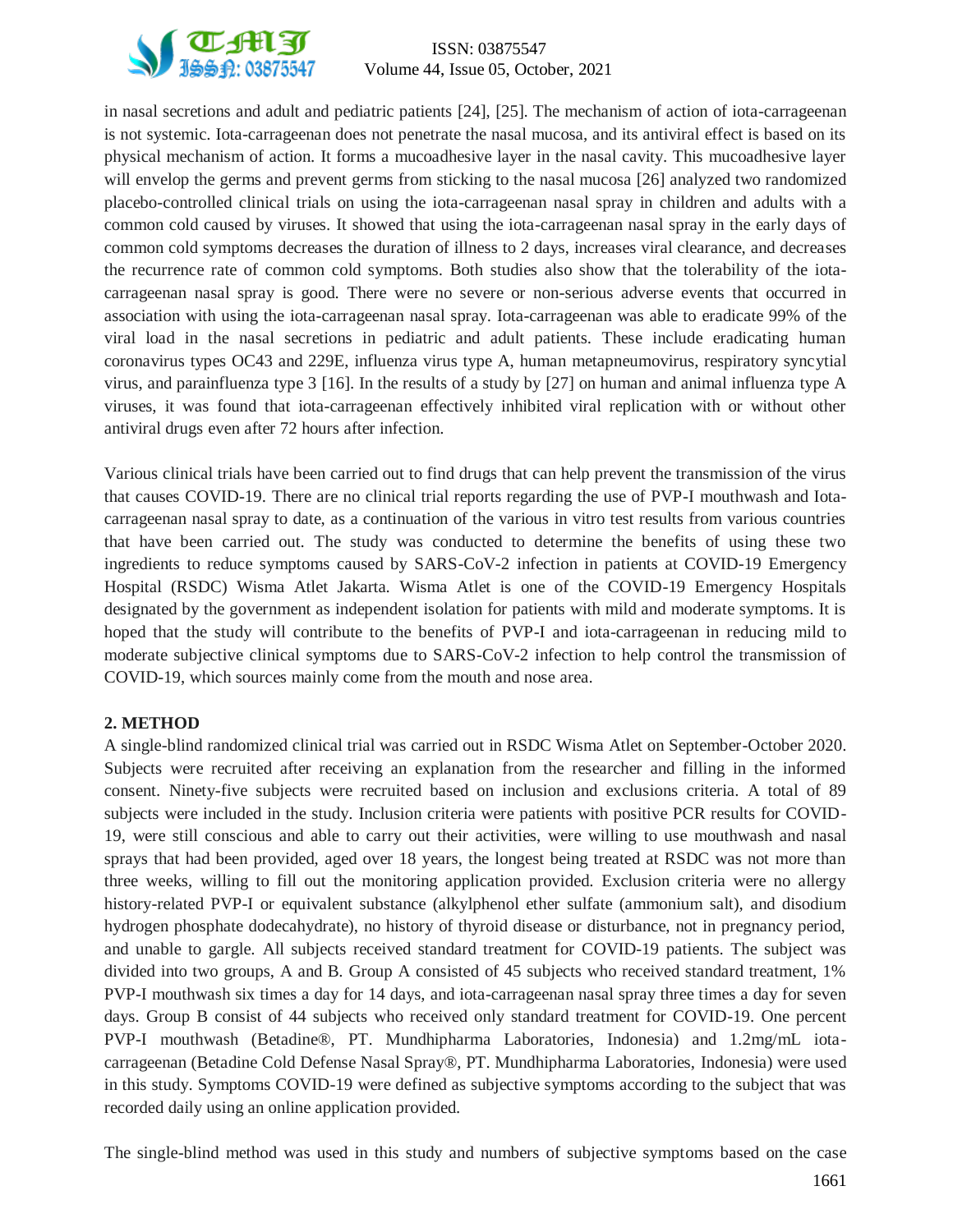

# ISSN: 03875547 **VE PHIST**<br> **Volume 44, Issue 05, October, 2021**<br> **Volume 44, Issue 05, October, 2021**

in nasal secretions and adult and pediatric patients [24], [25]. The mechanism of action of iota-carrageenan is not systemic. Iota-carrageenan does not penetrate the nasal mucosa, and its antiviral effect is based on its physical mechanism of action. It forms a mucoadhesive layer in the nasal cavity. This mucoadhesive layer will envelop the germs and prevent germs from sticking to the nasal mucosa [26] analyzed two randomized placebo-controlled clinical trials on using the iota-carrageenan nasal spray in children and adults with a common cold caused by viruses. It showed that using the iota-carrageenan nasal spray in the early days of common cold symptoms decreases the duration of illness to 2 days, increases viral clearance, and decreases the recurrence rate of common cold symptoms. Both studies also show that the tolerability of the iotacarrageenan nasal spray is good. There were no severe or non-serious adverse events that occurred in association with using the iota-carrageenan nasal spray. Iota-carrageenan was able to eradicate 99% of the viral load in the nasal secretions in pediatric and adult patients. These include eradicating human coronavirus types OC43 and 229E, influenza virus type A, human metapneumovirus, respiratory syncytial virus, and parainfluenza type 3 [16]. In the results of a study by [27] on human and animal influenza type A viruses, it was found that iota-carrageenan effectively inhibited viral replication with or without other antiviral drugs even after 72 hours after infection.

Various clinical trials have been carried out to find drugs that can help prevent the transmission of the virus that causes COVID-19. There are no clinical trial reports regarding the use of PVP-I mouthwash and Iotacarrageenan nasal spray to date, as a continuation of the various in vitro test results from various countries that have been carried out. The study was conducted to determine the benefits of using these two ingredients to reduce symptoms caused by SARS-CoV-2 infection in patients at COVID-19 Emergency Hospital (RSDC) Wisma Atlet Jakarta. Wisma Atlet is one of the COVID-19 Emergency Hospitals designated by the government as independent isolation for patients with mild and moderate symptoms. It is hoped that the study will contribute to the benefits of PVP-I and iota-carrageenan in reducing mild to moderate subjective clinical symptoms due to SARS-CoV-2 infection to help control the transmission of COVID-19, which sources mainly come from the mouth and nose area.

#### **2. METHOD**

A single-blind randomized clinical trial was carried out in RSDC Wisma Atlet on September-October 2020. Subjects were recruited after receiving an explanation from the researcher and filling in the informed consent. Ninety-five subjects were recruited based on inclusion and exclusions criteria. A total of 89 subjects were included in the study. Inclusion criteria were patients with positive PCR results for COVID-19, were still conscious and able to carry out their activities, were willing to use mouthwash and nasal sprays that had been provided, aged over 18 years, the longest being treated at RSDC was not more than three weeks, willing to fill out the monitoring application provided. Exclusion criteria were no allergy history-related PVP-I or equivalent substance (alkylphenol ether sulfate (ammonium salt), and disodium hydrogen phosphate dodecahydrate), no history of thyroid disease or disturbance, not in pregnancy period, and unable to gargle. All subjects received standard treatment for COVID-19 patients. The subject was divided into two groups, A and B. Group A consisted of 45 subjects who received standard treatment, 1% PVP-I mouthwash six times a day for 14 days, and iota-carrageenan nasal spray three times a day for seven days. Group B consist of 44 subjects who received only standard treatment for COVID-19. One percent PVP-I mouthwash (Betadine®, PT. Mundhipharma Laboratories, Indonesia) and 1.2mg/mL iotacarrageenan (Betadine Cold Defense Nasal Spray®, PT. Mundhipharma Laboratories, Indonesia) were used in this study. Symptoms COVID-19 were defined as subjective symptoms according to the subject that was recorded daily using an online application provided.

The single-blind method was used in this study and numbers of subjective symptoms based on the case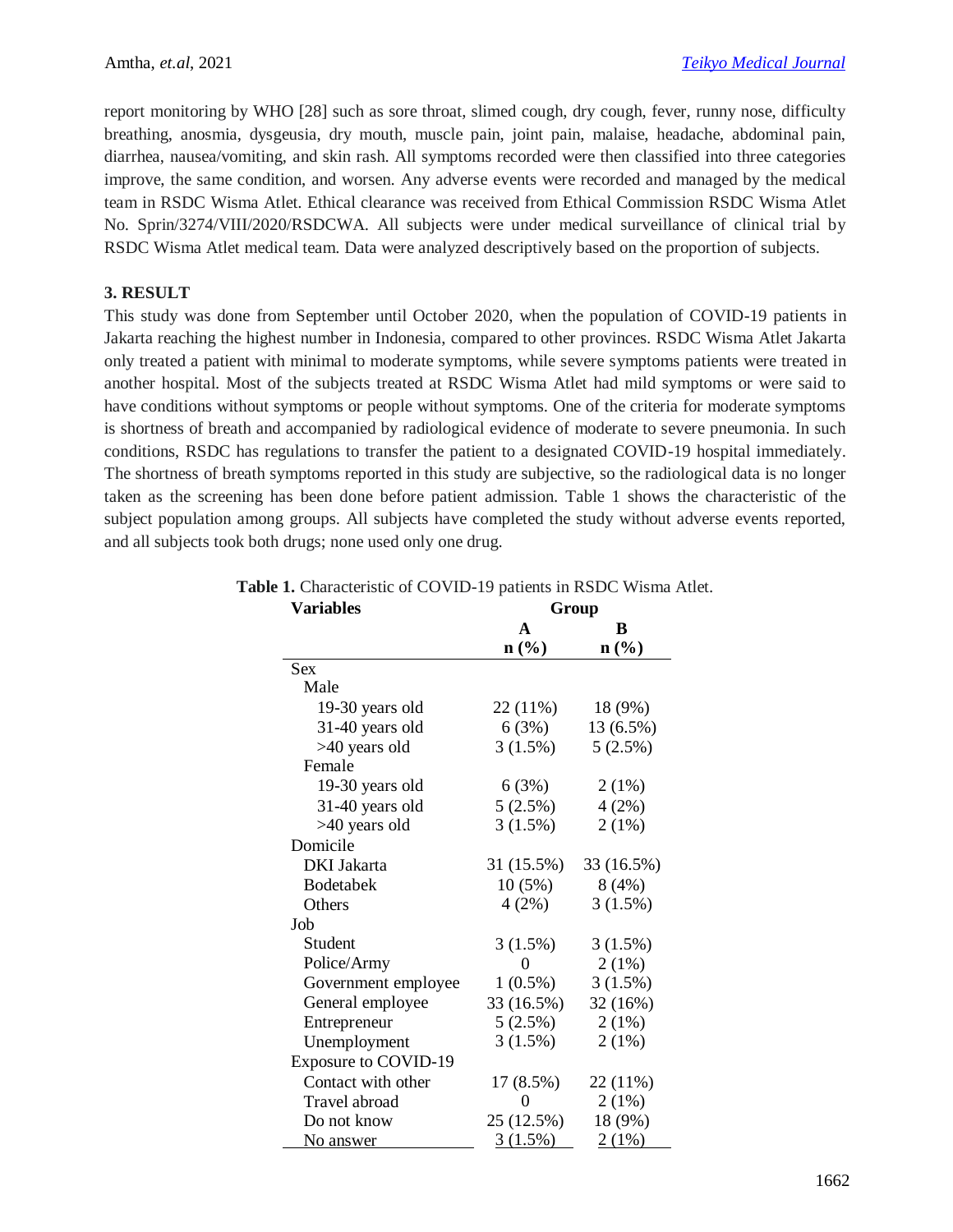report monitoring by WHO [28] such as sore throat, slimed cough, dry cough, fever, runny nose, difficulty breathing, anosmia, dysgeusia, dry mouth, muscle pain, joint pain, malaise, headache, abdominal pain, diarrhea, nausea/vomiting, and skin rash. All symptoms recorded were then classified into three categories improve, the same condition, and worsen. Any adverse events were recorded and managed by the medical team in RSDC Wisma Atlet. Ethical clearance was received from Ethical Commission RSDC Wisma Atlet No. Sprin/3274/VIII/2020/RSDCWA. All subjects were under medical surveillance of clinical trial by RSDC Wisma Atlet medical team. Data were analyzed descriptively based on the proportion of subjects.

#### **3. RESULT**

This study was done from September until October 2020, when the population of COVID-19 patients in Jakarta reaching the highest number in Indonesia, compared to other provinces. RSDC Wisma Atlet Jakarta only treated a patient with minimal to moderate symptoms, while severe symptoms patients were treated in another hospital. Most of the subjects treated at RSDC Wisma Atlet had mild symptoms or were said to have conditions without symptoms or people without symptoms. One of the criteria for moderate symptoms is shortness of breath and accompanied by radiological evidence of moderate to severe pneumonia. In such conditions, RSDC has regulations to transfer the patient to a designated COVID-19 hospital immediately. The shortness of breath symptoms reported in this study are subjective, so the radiological data is no longer taken as the screening has been done before patient admission. Table 1 shows the characteristic of the subject population among groups. All subjects have completed the study without adverse events reported, and all subjects took both drugs; none used only one drug.

| <b>Variables</b>            | Group                       |                  |  |  |  |  |  |
|-----------------------------|-----------------------------|------------------|--|--|--|--|--|
|                             | A                           | В                |  |  |  |  |  |
|                             | $n\left(\frac{0}{0}\right)$ | $\mathbf{n}(\%)$ |  |  |  |  |  |
| Sex                         |                             |                  |  |  |  |  |  |
| Male                        |                             |                  |  |  |  |  |  |
| 19-30 years old             | 22 (11%)                    | 18 (9%)          |  |  |  |  |  |
| 31-40 years old             | 6(3%)                       | 13 (6.5%)        |  |  |  |  |  |
| >40 years old               | 3(1.5%)                     | 5(2.5%)          |  |  |  |  |  |
| Female                      |                             |                  |  |  |  |  |  |
| 19-30 years old             | 6(3%)                       | 2(1%)            |  |  |  |  |  |
| 31-40 years old             | 5(2.5%)                     | 4(2%)            |  |  |  |  |  |
| >40 years old               | 3(1.5%)                     | 2(1%)            |  |  |  |  |  |
| Domicile                    |                             |                  |  |  |  |  |  |
| <b>DKI</b> Jakarta          | 31 (15.5%)                  | 33 (16.5%)       |  |  |  |  |  |
| Bodetabek                   | 10(5%)                      | 8(4%)            |  |  |  |  |  |
| Others                      | 4(2%)                       | 3(1.5%)          |  |  |  |  |  |
| Job                         |                             |                  |  |  |  |  |  |
| Student                     | 3(1.5%)                     | 3(1.5%)          |  |  |  |  |  |
| Police/Army                 | 0                           | $2(1\%)$         |  |  |  |  |  |
| Government employee         | $1(0.5\%)$                  | 3(1.5%)          |  |  |  |  |  |
| General employee            | 33 (16.5%)                  | 32 (16%)         |  |  |  |  |  |
| Entrepreneur                | 5(2.5%)                     | 2(1%)            |  |  |  |  |  |
| Unemployment                | 3(1.5%)                     | 2(1%)            |  |  |  |  |  |
| <b>Exposure to COVID-19</b> |                             |                  |  |  |  |  |  |
| Contact with other          | 17 (8.5%)                   | 22 (11%)         |  |  |  |  |  |
| Travel abroad               | 0                           | 2(1%)            |  |  |  |  |  |
| Do not know                 | 25 (12.5%)                  | 18 (9%)          |  |  |  |  |  |
| No answer                   | $3(1.5\%)$                  | 2(1%)            |  |  |  |  |  |

# **Table 1.** Characteristic of COVID-19 patients in RSDC Wisma Atlet.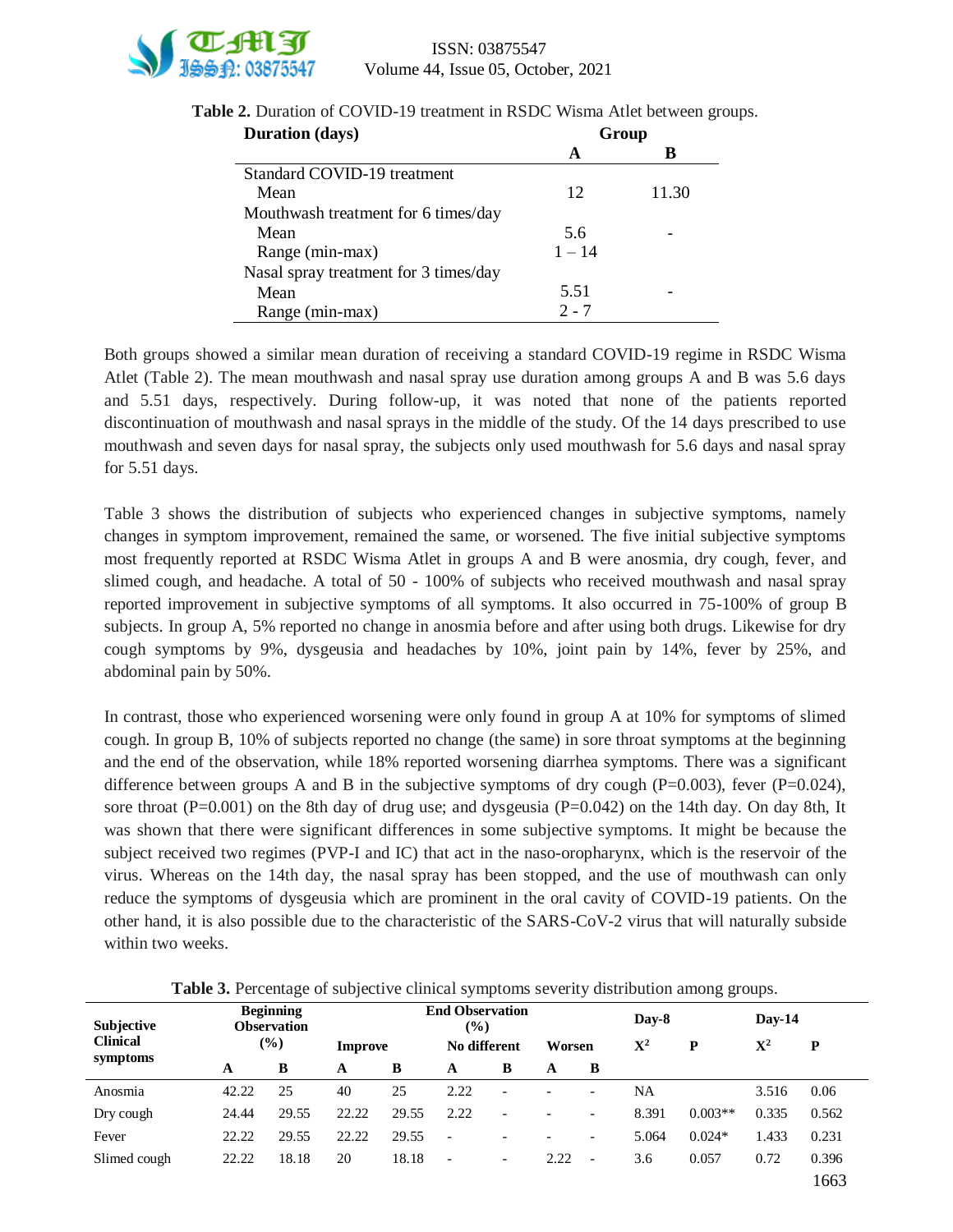

| <b>Duration</b> (days)                | Group    |       |  |  |  |
|---------------------------------------|----------|-------|--|--|--|
|                                       | A        | B     |  |  |  |
| Standard COVID-19 treatment           |          |       |  |  |  |
| Mean                                  | 12       | 11.30 |  |  |  |
| Mouthwash treatment for 6 times/day   |          |       |  |  |  |
| Mean                                  | 5.6      |       |  |  |  |
| Range (min-max)                       | $1 - 14$ |       |  |  |  |
| Nasal spray treatment for 3 times/day |          |       |  |  |  |
| Mean                                  | 5.51     |       |  |  |  |
| Range (min-max)                       | $2 - 7$  |       |  |  |  |

**Table 2.** Duration of COVID-19 treatment in RSDC Wisma Atlet between groups.

Both groups showed a similar mean duration of receiving a standard COVID-19 regime in RSDC Wisma Atlet (Table 2). The mean mouthwash and nasal spray use duration among groups A and B was 5.6 days and 5.51 days, respectively. During follow-up, it was noted that none of the patients reported discontinuation of mouthwash and nasal sprays in the middle of the study. Of the 14 days prescribed to use mouthwash and seven days for nasal spray, the subjects only used mouthwash for 5.6 days and nasal spray for 5.51 days.

Table 3 shows the distribution of subjects who experienced changes in subjective symptoms, namely changes in symptom improvement, remained the same, or worsened. The five initial subjective symptoms most frequently reported at RSDC Wisma Atlet in groups A and B were anosmia, dry cough, fever, and slimed cough, and headache. A total of 50 - 100% of subjects who received mouthwash and nasal spray reported improvement in subjective symptoms of all symptoms. It also occurred in 75-100% of group B subjects. In group A, 5% reported no change in anosmia before and after using both drugs. Likewise for dry cough symptoms by 9%, dysgeusia and headaches by 10%, joint pain by 14%, fever by 25%, and abdominal pain by 50%.

In contrast, those who experienced worsening were only found in group A at 10% for symptoms of slimed cough. In group B, 10% of subjects reported no change (the same) in sore throat symptoms at the beginning and the end of the observation, while 18% reported worsening diarrhea symptoms. There was a significant difference between groups A and B in the subjective symptoms of dry cough  $(P=0.003)$ , fever  $(P=0.024)$ , sore throat (P=0.001) on the 8th day of drug use; and dysgeusia (P=0.042) on the 14th day. On day 8th, It was shown that there were significant differences in some subjective symptoms. It might be because the subject received two regimes (PVP-I and IC) that act in the naso-oropharynx, which is the reservoir of the virus. Whereas on the 14th day, the nasal spray has been stopped, and the use of mouthwash can only reduce the symptoms of dysgeusia which are prominent in the oral cavity of COVID-19 patients. On the other hand, it is also possible due to the characteristic of the SARS-CoV-2 virus that will naturally subside within two weeks.

| Subjective      | <b>Beginning</b><br><b>Observation</b> |       |         | <b>End Observation</b><br>$(\%)$ |                          |                          |                 |                          | Day-8 |           | $Day-14$       |       |
|-----------------|----------------------------------------|-------|---------|----------------------------------|--------------------------|--------------------------|-----------------|--------------------------|-------|-----------|----------------|-------|
| <b>Clinical</b> | $(\%)$                                 |       | Improve |                                  |                          | No different             |                 | Worsen                   |       | P         | $\mathbf{X}^2$ | P     |
| symptoms        | А                                      | B     | A       | B                                | A                        | B                        | A               | B                        |       |           |                |       |
| Anosmia         | 42.22                                  | 25    | 40      | 25                               | 2.22                     | $\overline{\phantom{0}}$ |                 | $\overline{\phantom{a}}$ | NA    |           | 3.516          | 0.06  |
| Dry cough       | 24.44                                  | 29.55 | 22.22   | 29.55                            | 2.22                     | $\overline{\phantom{0}}$ | $\qquad \qquad$ | $\overline{\phantom{a}}$ | 8.391 | $0.003**$ | 0.335          | 0.562 |
| Fever           | 22.22                                  | 29.55 | 22.22   | 29.55                            | $\overline{\phantom{a}}$ |                          | $\qquad \qquad$ | $\overline{\phantom{a}}$ | 5.064 | $0.024*$  | 1.433          | 0.231 |
| Slimed cough    | 22.22                                  | 18.18 | 20      | 18.18                            | $\overline{\phantom{a}}$ | $\overline{\phantom{0}}$ | 2.22            | $\overline{\phantom{a}}$ | 3.6   | 0.057     | 0.72           | 0.396 |
|                 |                                        |       |         |                                  |                          |                          |                 |                          |       |           |                | 1663  |

**Table 3.** Percentage of subjective clinical symptoms severity distribution among groups.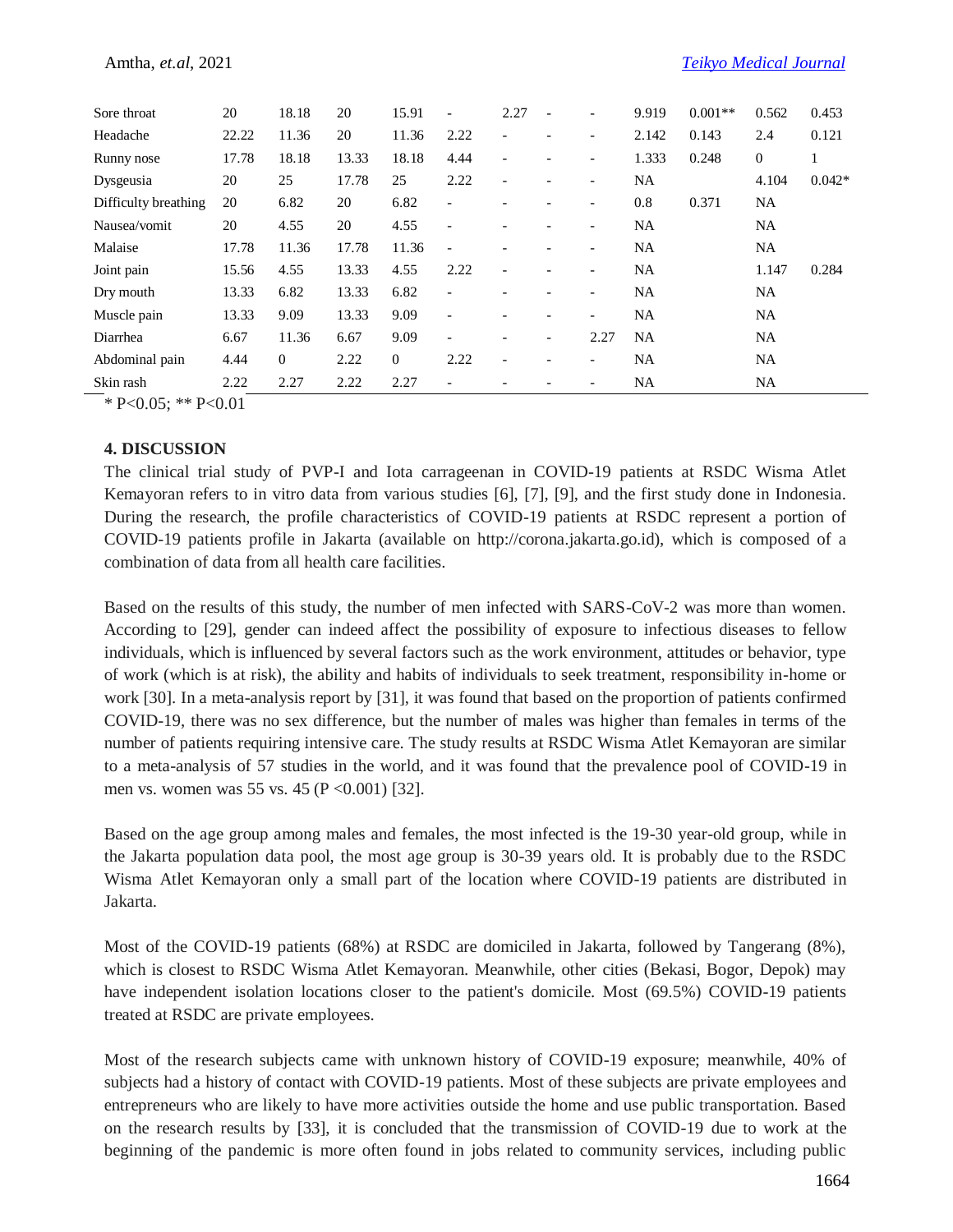| Sore throat          | 20    | 18.18          | 20    | 15.91    | $\overline{\phantom{a}}$ | 2.27                     |                          |                          | 9.919     | $0.001**$ | 0.562          | 0.453    |
|----------------------|-------|----------------|-------|----------|--------------------------|--------------------------|--------------------------|--------------------------|-----------|-----------|----------------|----------|
| Headache             | 22.22 | 11.36          | 20    | 11.36    | 2.22                     | $\overline{\phantom{0}}$ |                          |                          | 2.142     | 0.143     | 2.4            | 0.121    |
| Runny nose           | 17.78 | 18.18          | 13.33 | 18.18    | 4.44                     | $\overline{\phantom{a}}$ |                          | $\overline{\phantom{a}}$ | 1.333     | 0.248     | $\overline{0}$ |          |
| Dysgeusia            | 20    | 25             | 17.78 | 25       | 2.22                     | $\overline{\phantom{a}}$ |                          | $\overline{\phantom{a}}$ | <b>NA</b> |           | 4.104          | $0.042*$ |
| Difficulty breathing | 20    | 6.82           | 20    | 6.82     | $\overline{a}$           |                          |                          | $\overline{\phantom{0}}$ | 0.8       | 0.371     | <b>NA</b>      |          |
| Nausea/vomit         | 20    | 4.55           | 20    | 4.55     | $\overline{a}$           |                          |                          |                          | <b>NA</b> |           | <b>NA</b>      |          |
| Malaise              | 17.78 | 11.36          | 17.78 | 11.36    | $\overline{a}$           |                          |                          | $\overline{\phantom{0}}$ | <b>NA</b> |           | <b>NA</b>      |          |
| Joint pain           | 15.56 | 4.55           | 13.33 | 4.55     | 2.22                     | $\overline{\phantom{a}}$ |                          | $\overline{\phantom{a}}$ | <b>NA</b> |           | 1.147          | 0.284    |
| Dry mouth            | 13.33 | 6.82           | 13.33 | 6.82     | $\overline{a}$           |                          |                          |                          | <b>NA</b> |           | NA             |          |
| Muscle pain          | 13.33 | 9.09           | 13.33 | 9.09     | $\overline{a}$           |                          |                          | $\overline{\phantom{0}}$ | <b>NA</b> |           | <b>NA</b>      |          |
| Diarrhea             | 6.67  | 11.36          | 6.67  | 9.09     | $\overline{\phantom{0}}$ | $\overline{\phantom{0}}$ | $\overline{\phantom{a}}$ | 2.27                     | <b>NA</b> |           | <b>NA</b>      |          |
| Abdominal pain       | 4.44  | $\overline{0}$ | 2.22  | $\Omega$ | 2.22                     | $\overline{\phantom{a}}$ | $\overline{\phantom{a}}$ | $\overline{\phantom{a}}$ | <b>NA</b> |           | <b>NA</b>      |          |
| Skin rash            | 2.22  | 2.27           | 2.22  | 2.27     |                          |                          |                          |                          | <b>NA</b> |           | <b>NA</b>      |          |

\* P<0.05; \*\* P<0.01

#### **4. DISCUSSION**

The clinical trial study of PVP-I and Iota carrageenan in COVID-19 patients at RSDC Wisma Atlet Kemayoran refers to in vitro data from various studies [6], [7], [9], and the first study done in Indonesia. During the research, the profile characteristics of COVID-19 patients at RSDC represent a portion of COVID-19 patients profile in Jakarta (available on http://corona.jakarta.go.id), which is composed of a combination of data from all health care facilities.

Based on the results of this study, the number of men infected with SARS-CoV-2 was more than women. According to [29], gender can indeed affect the possibility of exposure to infectious diseases to fellow individuals, which is influenced by several factors such as the work environment, attitudes or behavior, type of work (which is at risk), the ability and habits of individuals to seek treatment, responsibility in-home or work [30]. In a meta-analysis report by [31], it was found that based on the proportion of patients confirmed COVID-19, there was no sex difference, but the number of males was higher than females in terms of the number of patients requiring intensive care. The study results at RSDC Wisma Atlet Kemayoran are similar to a meta-analysis of 57 studies in the world, and it was found that the prevalence pool of COVID-19 in men vs. women was 55 vs. 45 ( $P \le 0.001$ ) [32].

Based on the age group among males and females, the most infected is the 19-30 year-old group, while in the Jakarta population data pool, the most age group is 30-39 years old. It is probably due to the RSDC Wisma Atlet Kemayoran only a small part of the location where COVID-19 patients are distributed in Jakarta.

Most of the COVID-19 patients (68%) at RSDC are domiciled in Jakarta, followed by Tangerang (8%), which is closest to RSDC Wisma Atlet Kemayoran. Meanwhile, other cities (Bekasi, Bogor, Depok) may have independent isolation locations closer to the patient's domicile. Most (69.5%) COVID-19 patients treated at RSDC are private employees.

Most of the research subjects came with unknown history of COVID-19 exposure; meanwhile, 40% of subjects had a history of contact with COVID-19 patients. Most of these subjects are private employees and entrepreneurs who are likely to have more activities outside the home and use public transportation. Based on the research results by [33], it is concluded that the transmission of COVID-19 due to work at the beginning of the pandemic is more often found in jobs related to community services, including public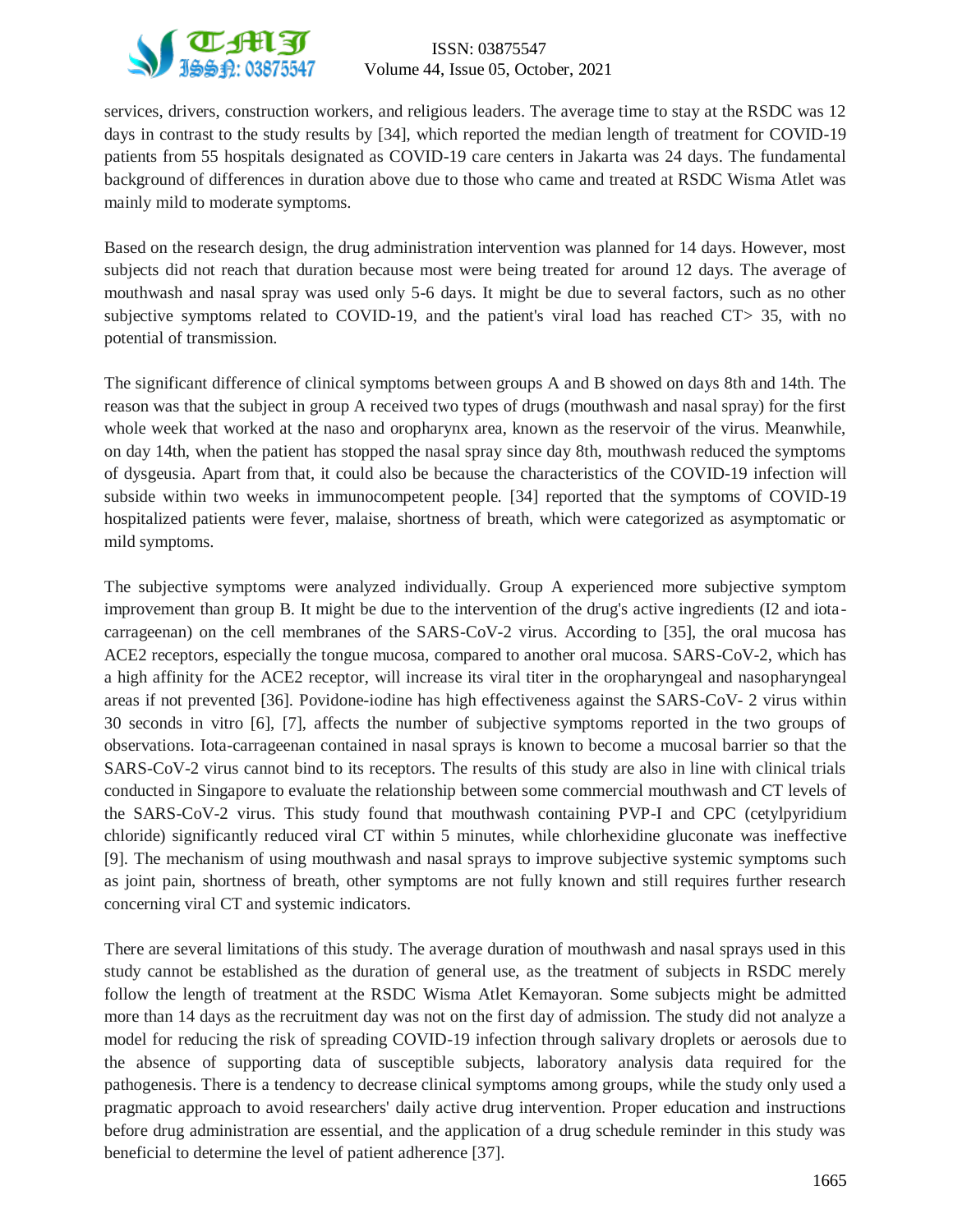

services, drivers, construction workers, and religious leaders. The average time to stay at the RSDC was 12 days in contrast to the study results by [34], which reported the median length of treatment for COVID-19 patients from 55 hospitals designated as COVID-19 care centers in Jakarta was 24 days. The fundamental background of differences in duration above due to those who came and treated at RSDC Wisma Atlet was mainly mild to moderate symptoms.

Based on the research design, the drug administration intervention was planned for 14 days. However, most subjects did not reach that duration because most were being treated for around 12 days. The average of mouthwash and nasal spray was used only 5-6 days. It might be due to several factors, such as no other subjective symptoms related to COVID-19, and the patient's viral load has reached CT> 35, with no potential of transmission.

The significant difference of clinical symptoms between groups A and B showed on days 8th and 14th. The reason was that the subject in group A received two types of drugs (mouthwash and nasal spray) for the first whole week that worked at the naso and oropharynx area, known as the reservoir of the virus. Meanwhile, on day 14th, when the patient has stopped the nasal spray since day 8th, mouthwash reduced the symptoms of dysgeusia. Apart from that, it could also be because the characteristics of the COVID-19 infection will subside within two weeks in immunocompetent people. [34] reported that the symptoms of COVID-19 hospitalized patients were fever, malaise, shortness of breath, which were categorized as asymptomatic or mild symptoms.

The subjective symptoms were analyzed individually. Group A experienced more subjective symptom improvement than group B. It might be due to the intervention of the drug's active ingredients (I2 and iotacarrageenan) on the cell membranes of the SARS-CoV-2 virus. According to [35], the oral mucosa has ACE2 receptors, especially the tongue mucosa, compared to another oral mucosa. SARS-CoV-2, which has a high affinity for the ACE2 receptor, will increase its viral titer in the oropharyngeal and nasopharyngeal areas if not prevented [36]. Povidone-iodine has high effectiveness against the SARS-CoV- 2 virus within 30 seconds in vitro [6], [7], affects the number of subjective symptoms reported in the two groups of observations. Iota-carrageenan contained in nasal sprays is known to become a mucosal barrier so that the SARS-CoV-2 virus cannot bind to its receptors. The results of this study are also in line with clinical trials conducted in Singapore to evaluate the relationship between some commercial mouthwash and CT levels of the SARS-CoV-2 virus. This study found that mouthwash containing PVP-I and CPC (cetylpyridium chloride) significantly reduced viral CT within 5 minutes, while chlorhexidine gluconate was ineffective [9]. The mechanism of using mouthwash and nasal sprays to improve subjective systemic symptoms such as joint pain, shortness of breath, other symptoms are not fully known and still requires further research concerning viral CT and systemic indicators.

There are several limitations of this study. The average duration of mouthwash and nasal sprays used in this study cannot be established as the duration of general use, as the treatment of subjects in RSDC merely follow the length of treatment at the RSDC Wisma Atlet Kemayoran. Some subjects might be admitted more than 14 days as the recruitment day was not on the first day of admission. The study did not analyze a model for reducing the risk of spreading COVID-19 infection through salivary droplets or aerosols due to the absence of supporting data of susceptible subjects, laboratory analysis data required for the pathogenesis. There is a tendency to decrease clinical symptoms among groups, while the study only used a pragmatic approach to avoid researchers' daily active drug intervention. Proper education and instructions before drug administration are essential, and the application of a drug schedule reminder in this study was beneficial to determine the level of patient adherence [37].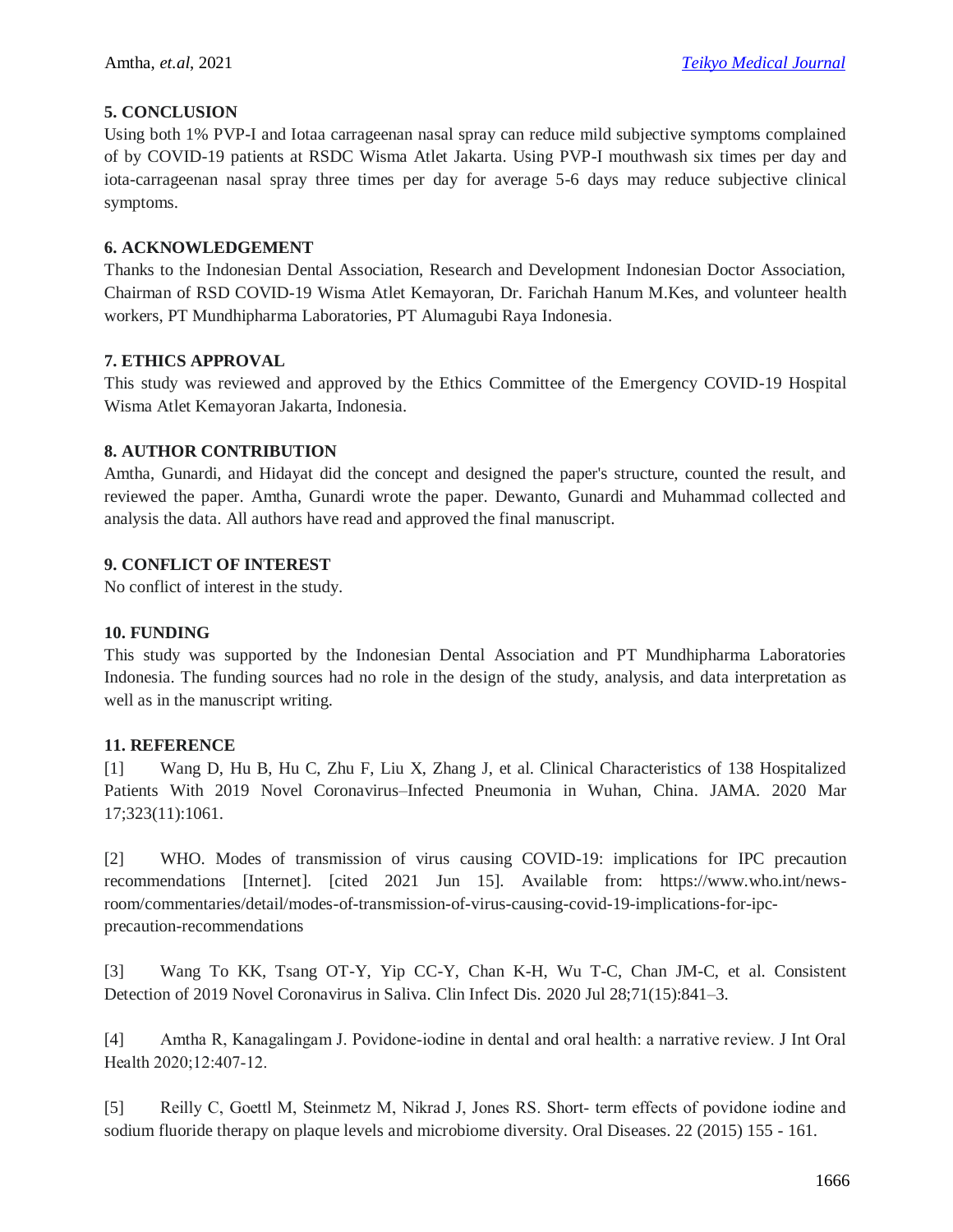#### **5. CONCLUSION**

Using both 1% PVP-I and Iotaa carrageenan nasal spray can reduce mild subjective symptoms complained of by COVID-19 patients at RSDC Wisma Atlet Jakarta. Using PVP-I mouthwash six times per day and iota-carrageenan nasal spray three times per day for average 5-6 days may reduce subjective clinical symptoms.

#### **6. ACKNOWLEDGEMENT**

Thanks to the Indonesian Dental Association, Research and Development Indonesian Doctor Association, Chairman of RSD COVID-19 Wisma Atlet Kemayoran, Dr. Farichah Hanum M.Kes, and volunteer health workers, PT Mundhipharma Laboratories, PT Alumagubi Raya Indonesia.

#### **7. ETHICS APPROVAL**

This study was reviewed and approved by the Ethics Committee of the Emergency COVID-19 Hospital Wisma Atlet Kemayoran Jakarta, Indonesia.

#### **8. AUTHOR CONTRIBUTION**

Amtha, Gunardi, and Hidayat did the concept and designed the paper's structure, counted the result, and reviewed the paper. Amtha, Gunardi wrote the paper. Dewanto, Gunardi and Muhammad collected and analysis the data. All authors have read and approved the final manuscript.

### **9. CONFLICT OF INTEREST**

No conflict of interest in the study.

#### **10. FUNDING**

This study was supported by the Indonesian Dental Association and PT Mundhipharma Laboratories Indonesia. The funding sources had no role in the design of the study, analysis, and data interpretation as well as in the manuscript writing.

#### **11. REFERENCE**

[1] Wang D, Hu B, Hu C, Zhu F, Liu X, Zhang J, et al. Clinical Characteristics of 138 Hospitalized Patients With 2019 Novel Coronavirus–Infected Pneumonia in Wuhan, China. JAMA. 2020 Mar 17;323(11):1061.

[2] WHO. Modes of transmission of virus causing COVID-19: implications for IPC precaution recommendations [Internet]. [cited 2021 Jun 15]. Available from: https://www.who.int/newsroom/commentaries/detail/modes-of-transmission-of-virus-causing-covid-19-implications-for-ipcprecaution-recommendations

[3] Wang To KK, Tsang OT-Y, Yip CC-Y, Chan K-H, Wu T-C, Chan JM-C, et al. Consistent Detection of 2019 Novel Coronavirus in Saliva. Clin Infect Dis. 2020 Jul 28;71(15):841–3.

[4] Amtha R, Kanagalingam J. Povidone‐iodine in dental and oral health: a narrative review. J Int Oral Health 2020;12:407‐12.

[5] Reilly C, Goettl M, Steinmetz M, Nikrad J, Jones RS. Short- term effects of povidone iodine and sodium fluoride therapy on plaque levels and microbiome diversity. Oral Diseases. 22 (2015) 155 - 161.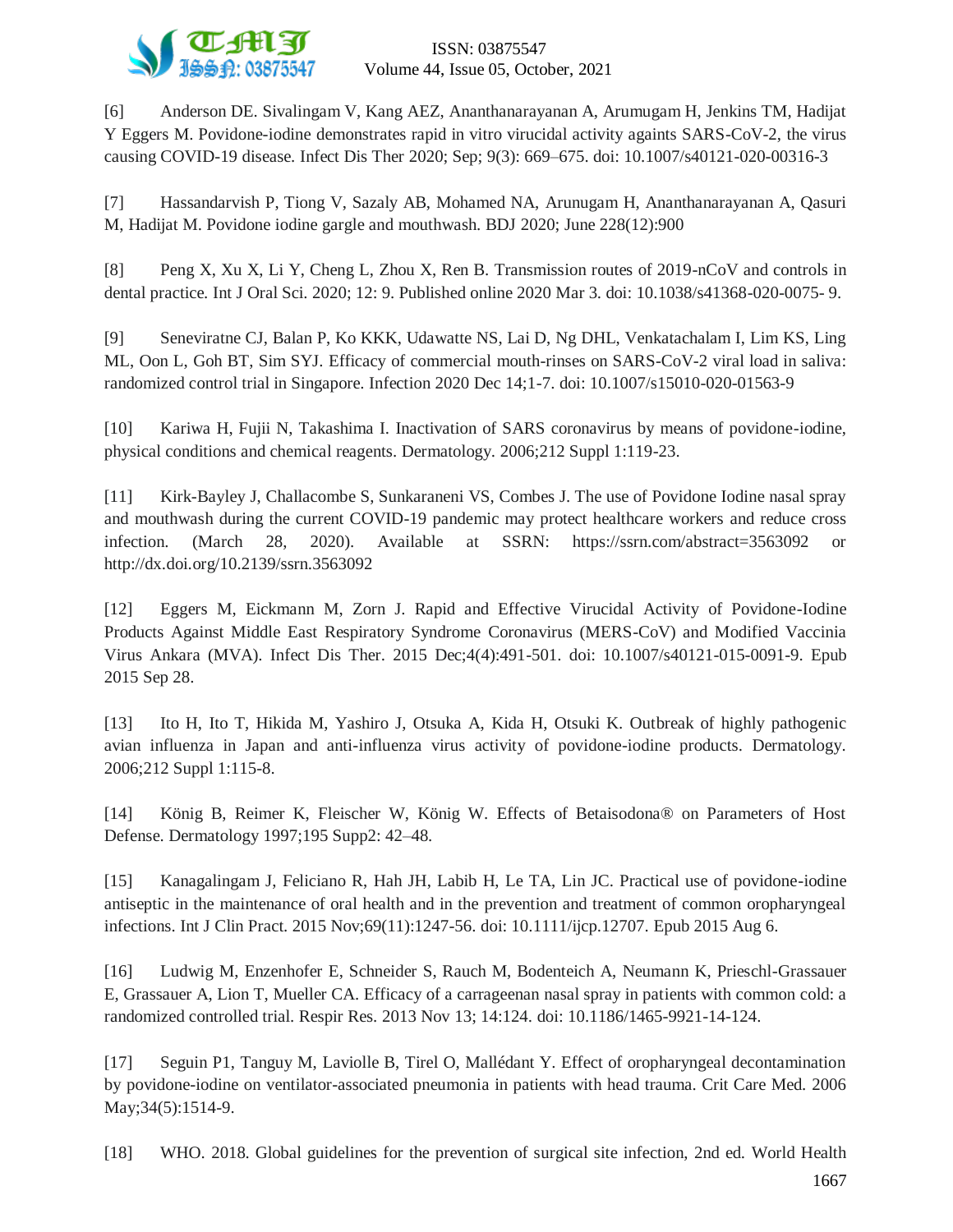

[6] Anderson DE. Sivalingam V, Kang AEZ, Ananthanarayanan A, Arumugam H, Jenkins TM, Hadijat Y Eggers M. Povidone-iodine demonstrates rapid in vitro virucidal activity againts SARS-CoV-2, the virus causing COVID-19 disease. Infect Dis Ther 2020; Sep; 9(3): 669–675. doi: 10.1007/s40121-020-00316-3

[7] Hassandarvish P, Tiong V, Sazaly AB, Mohamed NA, Arunugam H, Ananthanarayanan A, Qasuri M, Hadijat M. Povidone iodine gargle and mouthwash. BDJ 2020; June 228(12):900

[8] Peng X, Xu X, Li Y, Cheng L, Zhou X, Ren B. Transmission routes of 2019-nCoV and controls in dental practice. Int J Oral Sci. 2020; 12: 9. Published online 2020 Mar 3. doi: 10.1038/s41368-020-0075- 9.

[9] Seneviratne CJ, Balan P, Ko KKK, Udawatte NS, Lai D, Ng DHL, Venkatachalam I, Lim KS, Ling ML, Oon L, Goh BT, Sim SYJ. Efficacy of commercial mouth-rinses on SARS-CoV-2 viral load in saliva: randomized control trial in Singapore. Infection 2020 Dec 14;1-7. doi: 10.1007/s15010-020-01563-9

[10] Kariwa H, Fujii N, Takashima I. Inactivation of SARS coronavirus by means of povidone-iodine, physical conditions and chemical reagents. Dermatology. 2006;212 Suppl 1:119-23.

[11] Kirk-Bayley J, Challacombe S, Sunkaraneni VS, Combes J. The use of Povidone Iodine nasal spray and mouthwash during the current COVID-19 pandemic may protect healthcare workers and reduce cross infection. (March 28, 2020). Available at SSRN: https://ssrn.com/abstract=3563092 or http://dx.doi.org/10.2139/ssrn.3563092

[12] Eggers M, Eickmann M, Zorn J. Rapid and Effective Virucidal Activity of Povidone-Iodine Products Against Middle East Respiratory Syndrome Coronavirus (MERS-CoV) and Modified Vaccinia Virus Ankara (MVA). Infect Dis Ther. 2015 Dec;4(4):491-501. doi: 10.1007/s40121-015-0091-9. Epub 2015 Sep 28.

[13] Ito H, Ito T, Hikida M, Yashiro J, Otsuka A, Kida H, Otsuki K. Outbreak of highly pathogenic avian influenza in Japan and anti-influenza virus activity of povidone-iodine products. Dermatology. 2006;212 Suppl 1:115-8.

[14] König B, Reimer K, Fleischer W, König W. Effects of Betaisodona® on Parameters of Host Defense. Dermatology 1997;195 Supp2: 42–48.

[15] Kanagalingam J, Feliciano R, Hah JH, Labib H, Le TA, Lin JC. Practical use of povidone-iodine antiseptic in the maintenance of oral health and in the prevention and treatment of common oropharyngeal infections. Int J Clin Pract. 2015 Nov;69(11):1247-56. doi: 10.1111/ijcp.12707. Epub 2015 Aug 6.

[16] Ludwig M, Enzenhofer E, Schneider S, Rauch M, Bodenteich A, Neumann K, Prieschl-Grassauer E, Grassauer A, Lion T, Mueller CA. Efficacy of a carrageenan nasal spray in patients with common cold: a randomized controlled trial. Respir Res. 2013 Nov 13; 14:124. doi: 10.1186/1465-9921-14-124.

[17] Seguin P1, Tanguy M, Laviolle B, Tirel O, Mallédant Y. Effect of oropharyngeal decontamination by povidone-iodine on ventilator-associated pneumonia in patients with head trauma. Crit Care Med. 2006 May; 34(5): 1514-9.

[18] WHO. 2018. Global guidelines for the prevention of surgical site infection, 2nd ed. World Health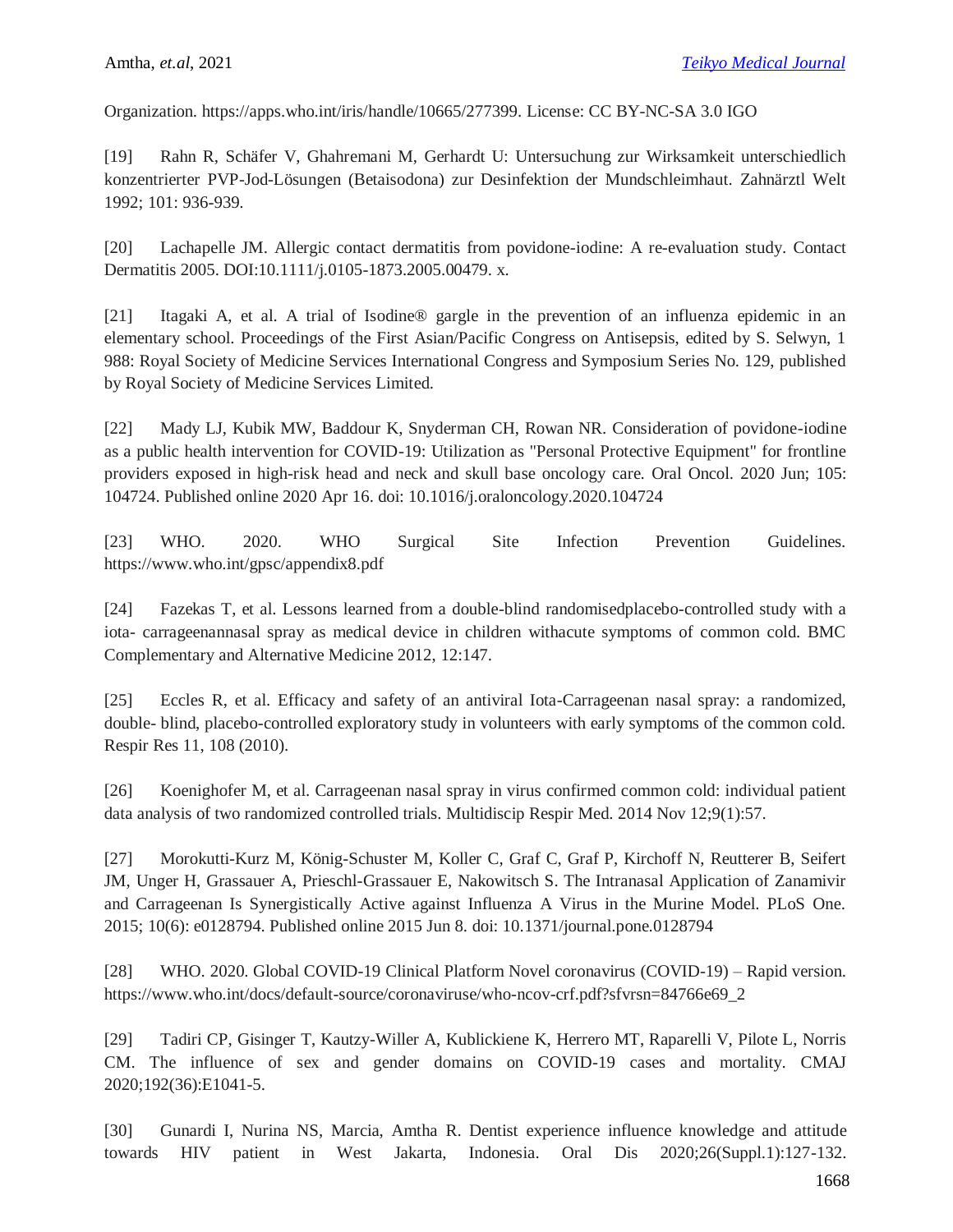Organization. https://apps.who.int/iris/handle/10665/277399. License: CC BY-NC-SA 3.0 IGO

[19] Rahn R, Schäfer V, Ghahremani M, Gerhardt U: Untersuchung zur Wirksamkeit unterschiedlich konzentrierter PVP-Jod-Lösungen (Betaisodona) zur Desinfektion der Mundschleimhaut. Zahnärztl Welt 1992; 101: 936-939.

[20] Lachapelle JM. Allergic contact dermatitis from povidone-iodine: A re-evaluation study. Contact Dermatitis 2005. DOI:10.1111/j.0105-1873.2005.00479. x.

[21] Itagaki A, et al. A trial of Isodine® gargle in the prevention of an influenza epidemic in an elementary school. Proceedings of the First Asian/Pacific Congress on Antisepsis, edited by S. Selwyn, 1 988: Royal Society of Medicine Services International Congress and Symposium Series No. 129, published by Royal Society of Medicine Services Limited.

[22] Mady LJ, Kubik MW, Baddour K, Snyderman CH, Rowan NR. Consideration of povidone-iodine as a public health intervention for COVID-19: Utilization as "Personal Protective Equipment" for frontline providers exposed in high-risk head and neck and skull base oncology care. Oral Oncol. 2020 Jun; 105: 104724. Published online 2020 Apr 16. doi: 10.1016/j.oraloncology.2020.104724

[23] WHO. 2020. WHO Surgical Site Infection Prevention Guidelines. https://www.who.int/gpsc/appendix8.pdf

[24] Fazekas T, et al. Lessons learned from a double-blind randomisedplacebo-controlled study with a iota- carrageenannasal spray as medical device in children withacute symptoms of common cold. BMC Complementary and Alternative Medicine 2012, 12:147.

[25] Eccles R, et al. Efficacy and safety of an antiviral Iota-Carrageenan nasal spray: a randomized, double- blind, placebo-controlled exploratory study in volunteers with early symptoms of the common cold. Respir Res 11, 108 (2010).

[26] Koenighofer M, et al. Carrageenan nasal spray in virus confirmed common cold: individual patient data analysis of two randomized controlled trials. Multidiscip Respir Med. 2014 Nov 12;9(1):57.

[27] Morokutti-Kurz M, König-Schuster M, Koller C, Graf C, Graf P, Kirchoff N, Reutterer B, Seifert JM, Unger H, Grassauer A, Prieschl-Grassauer E, Nakowitsch S. The Intranasal Application of Zanamivir and Carrageenan Is Synergistically Active against Influenza A Virus in the Murine Model. PLoS One. 2015; 10(6): e0128794. Published online 2015 Jun 8. doi: 10.1371/journal.pone.0128794

[28] WHO. 2020. Global COVID-19 Clinical Platform Novel coronavirus (COVID-19) – Rapid version. https://www.who.int/docs/default-source/coronaviruse/who-ncov-crf.pdf?sfvrsn=84766e69\_2

[29] Tadiri CP, Gisinger T, Kautzy-Willer A, Kublickiene K, Herrero MT, Raparelli V, Pilote L, Norris CM. The influence of sex and gender domains on COVID-19 cases and mortality. CMAJ 2020;192(36):E1041-5.

[30] Gunardi I, Nurina NS, Marcia, Amtha R. Dentist experience influence knowledge and attitude towards HIV patient in West Jakarta, Indonesia. Oral Dis 2020;26(Suppl.1):127-132.